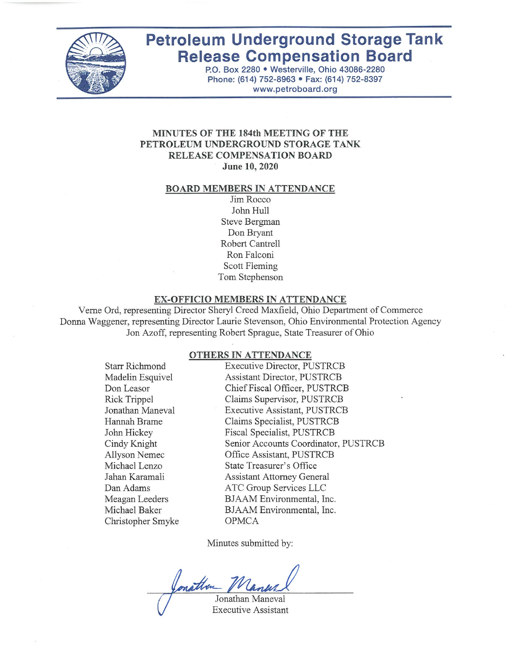

# **Petroleum Underground Storage Tank Release Compensation Board**

P.O. Box 2280 . Westerville, Ohio 43086-2280 Phone: (614) 752-8963 · Fax: (614) 752-8397 www.petroboard.org

#### **MINUTES OF THE 184th MEETING OF THE** PETROLEUM UNDERGROUND STORAGE TANK **RELEASE COMPENSATION BOARD** June 10, 2020

#### **BOARD MEMBERS IN ATTENDANCE**

Jim Rocco John Hull **Steve Bergman** Don Bryant Robert Cantrell Ron Falconi **Scott Fleming** Tom Stephenson

#### EX-OFFICIO MEMBERS IN ATTENDANCE

Verne Ord, representing Director Sheryl Creed Maxfield, Ohio Department of Commerce Donna Waggener, representing Director Laurie Stevenson, Ohio Environmental Protection Agency Jon Azoff, representing Robert Sprague, State Treasurer of Ohio

#### OTHERS IN ATTENDANCE

**Starr Richmond** Madelin Esquivel Don Leasor **Rick Trippel** Jonathan Maneval Hannah Brame John Hickey Cindy Knight Allyson Nemec Michael Lenzo Jahan Karamali Dan Adams Meagan Leeders Michael Baker Christopher Smyke **Executive Director, PUSTRCB Assistant Director, PUSTRCB** Chief Fiscal Officer, PUSTRCB Claims Supervisor, PUSTRCB **Executive Assistant, PUSTRCB** Claims Specialist, PUSTRCB Fiscal Specialist, PUSTRCB Senior Accounts Coordinator, PUSTRCB Office Assistant, PUSTRCB **State Treasurer's Office Assistant Attorney General ATC Group Services LLC** BJAAM Environmental, Inc. BJAAM Environmental, Inc. **OPMCA** 

Minutes submitted by:

rather

Jonathan Maneval **Executive Assistant**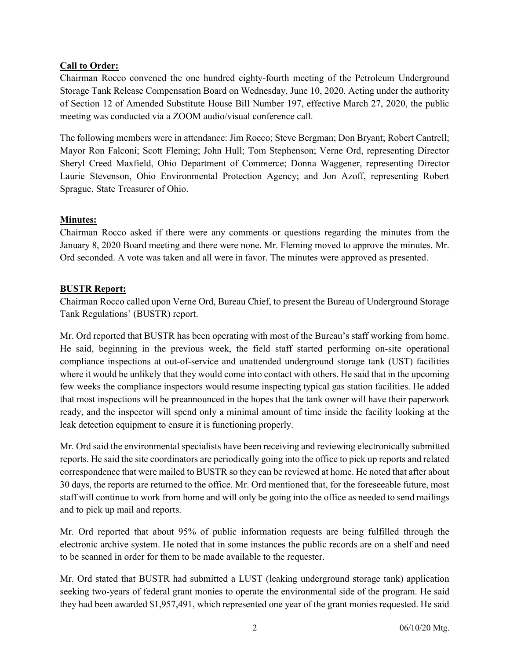### Call to Order:

Chairman Rocco convened the one hundred eighty-fourth meeting of the Petroleum Underground Storage Tank Release Compensation Board on Wednesday, June 10, 2020. Acting under the authority of Section 12 of Amended Substitute House Bill Number 197, effective March 27, 2020, the public meeting was conducted via a ZOOM audio/visual conference call.

The following members were in attendance: Jim Rocco; Steve Bergman; Don Bryant; Robert Cantrell; Mayor Ron Falconi; Scott Fleming; John Hull; Tom Stephenson; Verne Ord, representing Director Sheryl Creed Maxfield, Ohio Department of Commerce; Donna Waggener, representing Director Laurie Stevenson, Ohio Environmental Protection Agency; and Jon Azoff, representing Robert Sprague, State Treasurer of Ohio.

### Minutes:

Chairman Rocco asked if there were any comments or questions regarding the minutes from the January 8, 2020 Board meeting and there were none. Mr. Fleming moved to approve the minutes. Mr. Ord seconded. A vote was taken and all were in favor. The minutes were approved as presented.

### BUSTR Report:

Chairman Rocco called upon Verne Ord, Bureau Chief, to present the Bureau of Underground Storage Tank Regulations' (BUSTR) report.

Mr. Ord reported that BUSTR has been operating with most of the Bureau's staff working from home. He said, beginning in the previous week, the field staff started performing on-site operational compliance inspections at out-of-service and unattended underground storage tank (UST) facilities where it would be unlikely that they would come into contact with others. He said that in the upcoming few weeks the compliance inspectors would resume inspecting typical gas station facilities. He added that most inspections will be preannounced in the hopes that the tank owner will have their paperwork ready, and the inspector will spend only a minimal amount of time inside the facility looking at the leak detection equipment to ensure it is functioning properly.

Mr. Ord said the environmental specialists have been receiving and reviewing electronically submitted reports. He said the site coordinators are periodically going into the office to pick up reports and related correspondence that were mailed to BUSTR so they can be reviewed at home. He noted that after about 30 days, the reports are returned to the office. Mr. Ord mentioned that, for the foreseeable future, most staff will continue to work from home and will only be going into the office as needed to send mailings and to pick up mail and reports.

Mr. Ord reported that about 95% of public information requests are being fulfilled through the electronic archive system. He noted that in some instances the public records are on a shelf and need to be scanned in order for them to be made available to the requester.

Mr. Ord stated that BUSTR had submitted a LUST (leaking underground storage tank) application seeking two-years of federal grant monies to operate the environmental side of the program. He said they had been awarded \$1,957,491, which represented one year of the grant monies requested. He said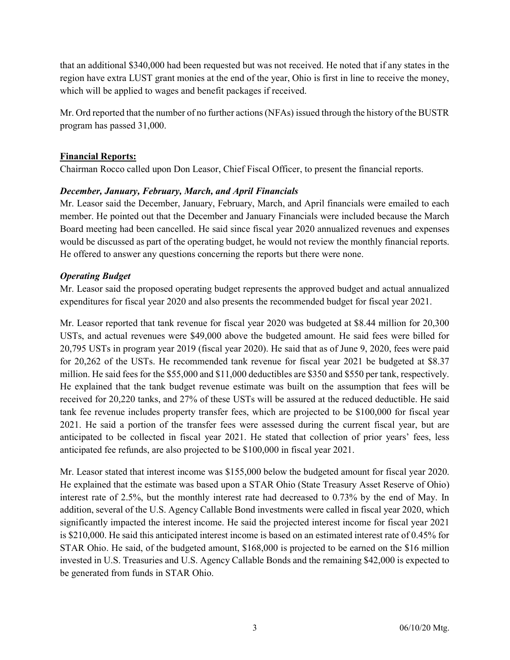that an additional \$340,000 had been requested but was not received. He noted that if any states in the region have extra LUST grant monies at the end of the year, Ohio is first in line to receive the money, which will be applied to wages and benefit packages if received.

Mr. Ord reported that the number of no further actions (NFAs) issued through the history of the BUSTR program has passed 31,000.

### Financial Reports:

Chairman Rocco called upon Don Leasor, Chief Fiscal Officer, to present the financial reports.

### December, January, February, March, and April Financials

Mr. Leasor said the December, January, February, March, and April financials were emailed to each member. He pointed out that the December and January Financials were included because the March Board meeting had been cancelled. He said since fiscal year 2020 annualized revenues and expenses would be discussed as part of the operating budget, he would not review the monthly financial reports. He offered to answer any questions concerning the reports but there were none.

### Operating Budget

Mr. Leasor said the proposed operating budget represents the approved budget and actual annualized expenditures for fiscal year 2020 and also presents the recommended budget for fiscal year 2021.

Mr. Leasor reported that tank revenue for fiscal year 2020 was budgeted at \$8.44 million for 20,300 USTs, and actual revenues were \$49,000 above the budgeted amount. He said fees were billed for 20,795 USTs in program year 2019 (fiscal year 2020). He said that as of June 9, 2020, fees were paid for 20,262 of the USTs. He recommended tank revenue for fiscal year 2021 be budgeted at \$8.37 million. He said fees for the \$55,000 and \$11,000 deductibles are \$350 and \$550 per tank, respectively. He explained that the tank budget revenue estimate was built on the assumption that fees will be received for 20,220 tanks, and 27% of these USTs will be assured at the reduced deductible. He said tank fee revenue includes property transfer fees, which are projected to be \$100,000 for fiscal year 2021. He said a portion of the transfer fees were assessed during the current fiscal year, but are anticipated to be collected in fiscal year 2021. He stated that collection of prior years' fees, less anticipated fee refunds, are also projected to be \$100,000 in fiscal year 2021.

Mr. Leasor stated that interest income was \$155,000 below the budgeted amount for fiscal year 2020. He explained that the estimate was based upon a STAR Ohio (State Treasury Asset Reserve of Ohio) interest rate of 2.5%, but the monthly interest rate had decreased to 0.73% by the end of May. In addition, several of the U.S. Agency Callable Bond investments were called in fiscal year 2020, which significantly impacted the interest income. He said the projected interest income for fiscal year 2021 is \$210,000. He said this anticipated interest income is based on an estimated interest rate of 0.45% for STAR Ohio. He said, of the budgeted amount, \$168,000 is projected to be earned on the \$16 million invested in U.S. Treasuries and U.S. Agency Callable Bonds and the remaining \$42,000 is expected to be generated from funds in STAR Ohio.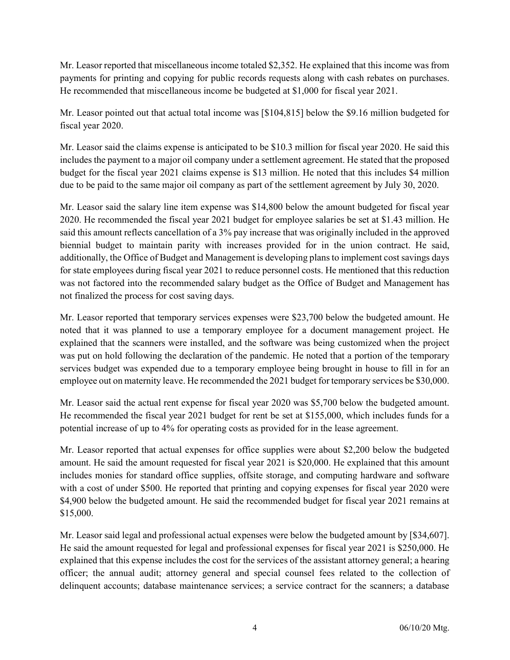Mr. Leasor reported that miscellaneous income totaled \$2,352. He explained that this income was from payments for printing and copying for public records requests along with cash rebates on purchases. He recommended that miscellaneous income be budgeted at \$1,000 for fiscal year 2021.

Mr. Leasor pointed out that actual total income was [\$104,815] below the \$9.16 million budgeted for fiscal year 2020.

Mr. Leasor said the claims expense is anticipated to be \$10.3 million for fiscal year 2020. He said this includes the payment to a major oil company under a settlement agreement. He stated that the proposed budget for the fiscal year 2021 claims expense is \$13 million. He noted that this includes \$4 million due to be paid to the same major oil company as part of the settlement agreement by July 30, 2020.

Mr. Leasor said the salary line item expense was \$14,800 below the amount budgeted for fiscal year 2020. He recommended the fiscal year 2021 budget for employee salaries be set at \$1.43 million. He said this amount reflects cancellation of a 3% pay increase that was originally included in the approved biennial budget to maintain parity with increases provided for in the union contract. He said, additionally, the Office of Budget and Management is developing plans to implement cost savings days for state employees during fiscal year 2021 to reduce personnel costs. He mentioned that this reduction was not factored into the recommended salary budget as the Office of Budget and Management has not finalized the process for cost saving days.

Mr. Leasor reported that temporary services expenses were \$23,700 below the budgeted amount. He noted that it was planned to use a temporary employee for a document management project. He explained that the scanners were installed, and the software was being customized when the project was put on hold following the declaration of the pandemic. He noted that a portion of the temporary services budget was expended due to a temporary employee being brought in house to fill in for an employee out on maternity leave. He recommended the 2021 budget for temporary services be \$30,000.

Mr. Leasor said the actual rent expense for fiscal year 2020 was \$5,700 below the budgeted amount. He recommended the fiscal year 2021 budget for rent be set at \$155,000, which includes funds for a potential increase of up to 4% for operating costs as provided for in the lease agreement.

Mr. Leasor reported that actual expenses for office supplies were about \$2,200 below the budgeted amount. He said the amount requested for fiscal year 2021 is \$20,000. He explained that this amount includes monies for standard office supplies, offsite storage, and computing hardware and software with a cost of under \$500. He reported that printing and copying expenses for fiscal year 2020 were \$4,900 below the budgeted amount. He said the recommended budget for fiscal year 2021 remains at \$15,000.

Mr. Leasor said legal and professional actual expenses were below the budgeted amount by [\$34,607]. He said the amount requested for legal and professional expenses for fiscal year 2021 is \$250,000. He explained that this expense includes the cost for the services of the assistant attorney general; a hearing officer; the annual audit; attorney general and special counsel fees related to the collection of delinquent accounts; database maintenance services; a service contract for the scanners; a database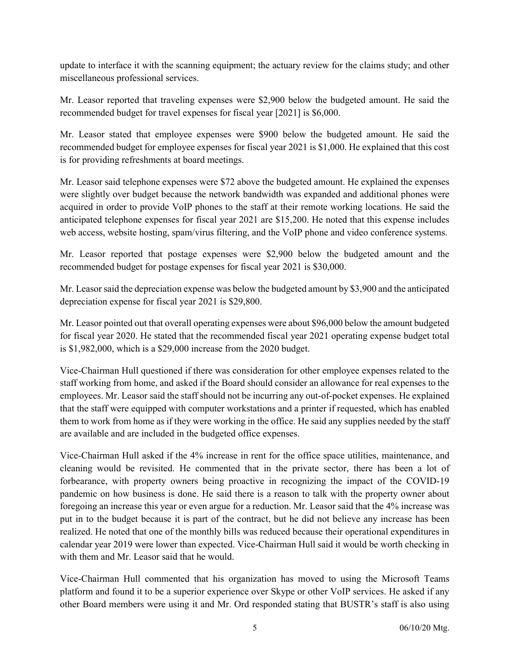update to interface it with the scanning equipment; the actuary review for the claims study; and other miscellaneous professional services.

Mr. Leasor reported that traveling expenses were \$2,900 below the budgeted amount. He said the recommended budget for travel expenses for fiscal year [2021] is \$6,000.

Mr. Leasor stated that employee expenses were \$900 below the budgeted amount. He said the recommended budget for employee expenses for fiscal year 2021 is \$1,000. He explained that this cost is for providing refreshments at board meetings.

Mr. Leasor said telephone expenses were \$72 above the budgeted amount. He explained the expenses were slightly over budget because the network bandwidth was expanded and additional phones were acquired in order to provide VoIP phones to the staff at their remote working locations. He said the anticipated telephone expenses for fiscal year 2021 are \$15,200. He noted that this expense includes web access, website hosting, spam/virus filtering, and the VoIP phone and video conference systems.

Mr. Leasor reported that postage expenses were \$2,900 below the budgeted amount and the recommended budget for postage expenses for fiscal year 2021 is \$30,000.

Mr. Leasor said the depreciation expense was below the budgeted amount by \$3,900 and the anticipated depreciation expense for fiscal year 2021 is \$29,800.

Mr. Leasor pointed out that overall operating expenses were about \$96,000 below the amount budgeted for fiscal year 2020. He stated that the recommended fiscal year 2021 operating expense budget total is \$1,982,000, which is a \$29,000 increase from the 2020 budget.

Vice-Chairman Hull questioned if there was consideration for other employee expenses related to the staff working from home, and asked if the Board should consider an allowance for real expenses to the employees. Mr. Leasor said the staff should not be incurring any out-of-pocket expenses. He explained that the staff were equipped with computer workstations and a printer if requested, which has enabled them to work from home as if they were working in the office. He said any supplies needed by the staff are available and are included in the budgeted office expenses.

Vice-Chairman Hull asked if the 4% increase in rent for the office space utilities, maintenance, and cleaning would be revisited. He commented that in the private sector, there has been a lot of forbearance, with property owners being proactive in recognizing the impact of the COVID-19 pandemic on how business is done. He said there is a reason to talk with the property owner about foregoing an increase this year or even argue for a reduction. Mr. Leasor said that the 4% increase was put in to the budget because it is part of the contract, but he did not believe any increase has been realized. He noted that one of the monthly bills was reduced because their operational expenditures in calendar year 2019 were lower than expected. Vice-Chairman Hull said it would be worth checking in with them and Mr. Leasor said that he would.

Vice-Chairman Hull commented that his organization has moved to using the Microsoft Teams platform and found it to be a superior experience over Skype or other VoIP services. He asked if any other Board members were using it and Mr. Ord responded stating that BUSTR's staff is also using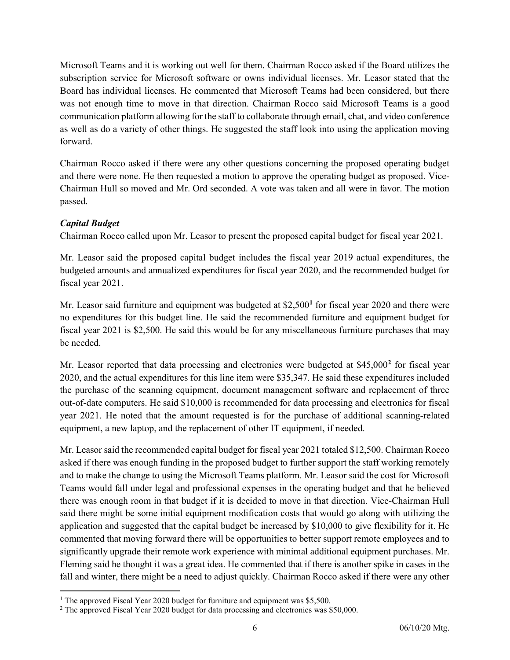Microsoft Teams and it is working out well for them. Chairman Rocco asked if the Board utilizes the subscription service for Microsoft software or owns individual licenses. Mr. Leasor stated that the Board has individual licenses. He commented that Microsoft Teams had been considered, but there was not enough time to move in that direction. Chairman Rocco said Microsoft Teams is a good communication platform allowing for the staff to collaborate through email, chat, and video conference as well as do a variety of other things. He suggested the staff look into using the application moving forward.

Chairman Rocco asked if there were any other questions concerning the proposed operating budget and there were none. He then requested a motion to approve the operating budget as proposed. Vice-Chairman Hull so moved and Mr. Ord seconded. A vote was taken and all were in favor. The motion passed.

# Capital Budget

 $\overline{a}$ 

Chairman Rocco called upon Mr. Leasor to present the proposed capital budget for fiscal year 2021.

Mr. Leasor said the proposed capital budget includes the fiscal year 2019 actual expenditures, the budgeted amounts and annualized expenditures for fiscal year 2020, and the recommended budget for fiscal year 2021.

Mr. Leasor said furniture and equipment was budgeted at \$2,500<sup>1</sup> for fiscal year 2020 and there were no expenditures for this budget line. He said the recommended furniture and equipment budget for fiscal year 2021 is \$2,500. He said this would be for any miscellaneous furniture purchases that may be needed.

Mr. Leasor reported that data processing and electronics were budgeted at \$45,000<sup>2</sup> for fiscal year 2020, and the actual expenditures for this line item were \$35,347. He said these expenditures included the purchase of the scanning equipment, document management software and replacement of three out-of-date computers. He said \$10,000 is recommended for data processing and electronics for fiscal year 2021. He noted that the amount requested is for the purchase of additional scanning-related equipment, a new laptop, and the replacement of other IT equipment, if needed.

Mr. Leasor said the recommended capital budget for fiscal year 2021 totaled \$12,500. Chairman Rocco asked if there was enough funding in the proposed budget to further support the staff working remotely and to make the change to using the Microsoft Teams platform. Mr. Leasor said the cost for Microsoft Teams would fall under legal and professional expenses in the operating budget and that he believed there was enough room in that budget if it is decided to move in that direction. Vice-Chairman Hull said there might be some initial equipment modification costs that would go along with utilizing the application and suggested that the capital budget be increased by \$10,000 to give flexibility for it. He commented that moving forward there will be opportunities to better support remote employees and to significantly upgrade their remote work experience with minimal additional equipment purchases. Mr. Fleming said he thought it was a great idea. He commented that if there is another spike in cases in the fall and winter, there might be a need to adjust quickly. Chairman Rocco asked if there were any other

<sup>&</sup>lt;sup>1</sup> The approved Fiscal Year 2020 budget for furniture and equipment was \$5,500.

<sup>&</sup>lt;sup>2</sup> The approved Fiscal Year 2020 budget for data processing and electronics was \$50,000.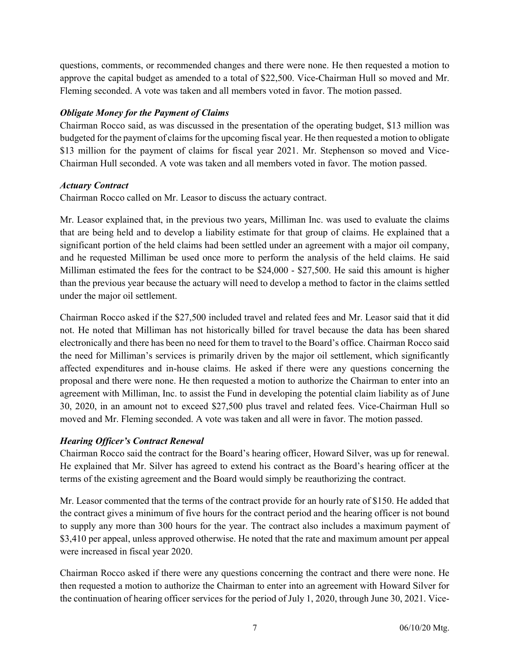questions, comments, or recommended changes and there were none. He then requested a motion to approve the capital budget as amended to a total of \$22,500. Vice-Chairman Hull so moved and Mr. Fleming seconded. A vote was taken and all members voted in favor. The motion passed.

### Obligate Money for the Payment of Claims

Chairman Rocco said, as was discussed in the presentation of the operating budget, \$13 million was budgeted for the payment of claims for the upcoming fiscal year. He then requested a motion to obligate \$13 million for the payment of claims for fiscal year 2021. Mr. Stephenson so moved and Vice-Chairman Hull seconded. A vote was taken and all members voted in favor. The motion passed.

### Actuary Contract

Chairman Rocco called on Mr. Leasor to discuss the actuary contract.

Mr. Leasor explained that, in the previous two years, Milliman Inc. was used to evaluate the claims that are being held and to develop a liability estimate for that group of claims. He explained that a significant portion of the held claims had been settled under an agreement with a major oil company, and he requested Milliman be used once more to perform the analysis of the held claims. He said Milliman estimated the fees for the contract to be \$24,000 - \$27,500. He said this amount is higher than the previous year because the actuary will need to develop a method to factor in the claims settled under the major oil settlement.

Chairman Rocco asked if the \$27,500 included travel and related fees and Mr. Leasor said that it did not. He noted that Milliman has not historically billed for travel because the data has been shared electronically and there has been no need for them to travel to the Board's office. Chairman Rocco said the need for Milliman's services is primarily driven by the major oil settlement, which significantly affected expenditures and in-house claims. He asked if there were any questions concerning the proposal and there were none. He then requested a motion to authorize the Chairman to enter into an agreement with Milliman, Inc. to assist the Fund in developing the potential claim liability as of June 30, 2020, in an amount not to exceed \$27,500 plus travel and related fees. Vice-Chairman Hull so moved and Mr. Fleming seconded. A vote was taken and all were in favor. The motion passed.

### Hearing Officer's Contract Renewal

Chairman Rocco said the contract for the Board's hearing officer, Howard Silver, was up for renewal. He explained that Mr. Silver has agreed to extend his contract as the Board's hearing officer at the terms of the existing agreement and the Board would simply be reauthorizing the contract.

Mr. Leasor commented that the terms of the contract provide for an hourly rate of \$150. He added that the contract gives a minimum of five hours for the contract period and the hearing officer is not bound to supply any more than 300 hours for the year. The contract also includes a maximum payment of \$3,410 per appeal, unless approved otherwise. He noted that the rate and maximum amount per appeal were increased in fiscal year 2020.

Chairman Rocco asked if there were any questions concerning the contract and there were none. He then requested a motion to authorize the Chairman to enter into an agreement with Howard Silver for the continuation of hearing officer services for the period of July 1, 2020, through June 30, 2021. Vice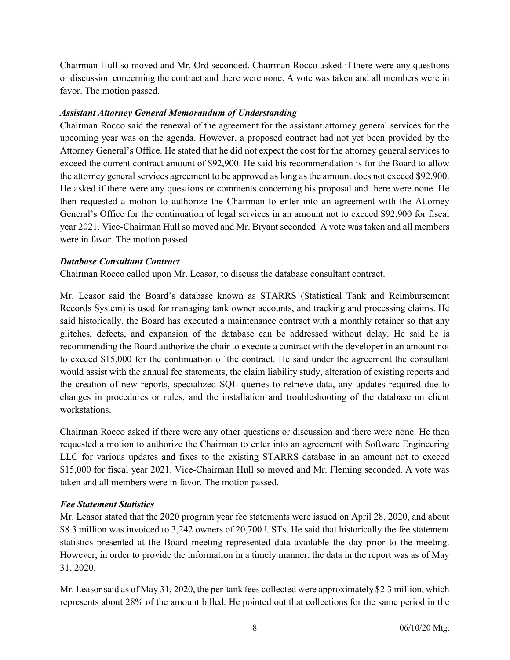Chairman Hull so moved and Mr. Ord seconded. Chairman Rocco asked if there were any questions or discussion concerning the contract and there were none. A vote was taken and all members were in favor. The motion passed.

### Assistant Attorney General Memorandum of Understanding

Chairman Rocco said the renewal of the agreement for the assistant attorney general services for the upcoming year was on the agenda. However, a proposed contract had not yet been provided by the Attorney General's Office. He stated that he did not expect the cost for the attorney general services to exceed the current contract amount of \$92,900. He said his recommendation is for the Board to allow the attorney general services agreement to be approved as long as the amount does not exceed \$92,900. He asked if there were any questions or comments concerning his proposal and there were none. He then requested a motion to authorize the Chairman to enter into an agreement with the Attorney General's Office for the continuation of legal services in an amount not to exceed \$92,900 for fiscal year 2021. Vice-Chairman Hull so moved and Mr. Bryant seconded. A vote was taken and all members were in favor. The motion passed.

### Database Consultant Contract

Chairman Rocco called upon Mr. Leasor, to discuss the database consultant contract.

Mr. Leasor said the Board's database known as STARRS (Statistical Tank and Reimbursement Records System) is used for managing tank owner accounts, and tracking and processing claims. He said historically, the Board has executed a maintenance contract with a monthly retainer so that any glitches, defects, and expansion of the database can be addressed without delay. He said he is recommending the Board authorize the chair to execute a contract with the developer in an amount not to exceed \$15,000 for the continuation of the contract. He said under the agreement the consultant would assist with the annual fee statements, the claim liability study, alteration of existing reports and the creation of new reports, specialized SQL queries to retrieve data, any updates required due to changes in procedures or rules, and the installation and troubleshooting of the database on client workstations.

Chairman Rocco asked if there were any other questions or discussion and there were none. He then requested a motion to authorize the Chairman to enter into an agreement with Software Engineering LLC for various updates and fixes to the existing STARRS database in an amount not to exceed \$15,000 for fiscal year 2021. Vice-Chairman Hull so moved and Mr. Fleming seconded. A vote was taken and all members were in favor. The motion passed.

# Fee Statement Statistics

Mr. Leasor stated that the 2020 program year fee statements were issued on April 28, 2020, and about \$8.3 million was invoiced to 3,242 owners of 20,700 USTs. He said that historically the fee statement statistics presented at the Board meeting represented data available the day prior to the meeting. However, in order to provide the information in a timely manner, the data in the report was as of May 31, 2020.

Mr. Leasor said as of May 31, 2020, the per-tank fees collected were approximately \$2.3 million, which represents about 28% of the amount billed. He pointed out that collections for the same period in the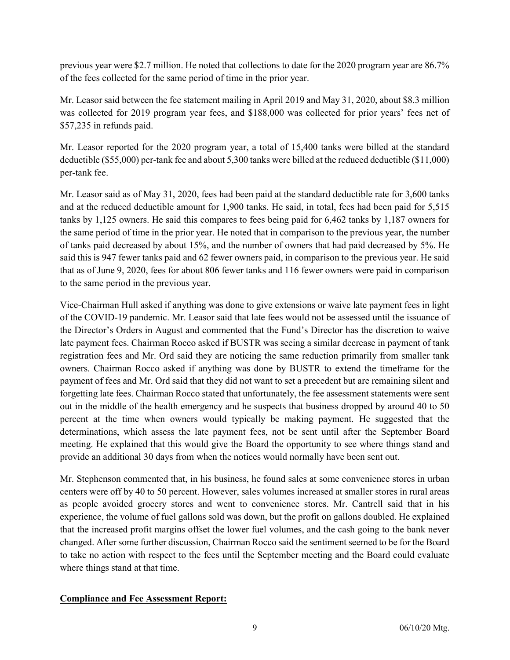previous year were \$2.7 million. He noted that collections to date for the 2020 program year are 86.7% of the fees collected for the same period of time in the prior year.

Mr. Leasor said between the fee statement mailing in April 2019 and May 31, 2020, about \$8.3 million was collected for 2019 program year fees, and \$188,000 was collected for prior years' fees net of \$57,235 in refunds paid.

Mr. Leasor reported for the 2020 program year, a total of 15,400 tanks were billed at the standard deductible (\$55,000) per-tank fee and about 5,300 tanks were billed at the reduced deductible (\$11,000) per-tank fee.

Mr. Leasor said as of May 31, 2020, fees had been paid at the standard deductible rate for 3,600 tanks and at the reduced deductible amount for 1,900 tanks. He said, in total, fees had been paid for 5,515 tanks by 1,125 owners. He said this compares to fees being paid for 6,462 tanks by 1,187 owners for the same period of time in the prior year. He noted that in comparison to the previous year, the number of tanks paid decreased by about 15%, and the number of owners that had paid decreased by 5%. He said this is 947 fewer tanks paid and 62 fewer owners paid, in comparison to the previous year. He said that as of June 9, 2020, fees for about 806 fewer tanks and 116 fewer owners were paid in comparison to the same period in the previous year.

Vice-Chairman Hull asked if anything was done to give extensions or waive late payment fees in light of the COVID-19 pandemic. Mr. Leasor said that late fees would not be assessed until the issuance of the Director's Orders in August and commented that the Fund's Director has the discretion to waive late payment fees. Chairman Rocco asked if BUSTR was seeing a similar decrease in payment of tank registration fees and Mr. Ord said they are noticing the same reduction primarily from smaller tank owners. Chairman Rocco asked if anything was done by BUSTR to extend the timeframe for the payment of fees and Mr. Ord said that they did not want to set a precedent but are remaining silent and forgetting late fees. Chairman Rocco stated that unfortunately, the fee assessment statements were sent out in the middle of the health emergency and he suspects that business dropped by around 40 to 50 percent at the time when owners would typically be making payment. He suggested that the determinations, which assess the late payment fees, not be sent until after the September Board meeting. He explained that this would give the Board the opportunity to see where things stand and provide an additional 30 days from when the notices would normally have been sent out.

Mr. Stephenson commented that, in his business, he found sales at some convenience stores in urban centers were off by 40 to 50 percent. However, sales volumes increased at smaller stores in rural areas as people avoided grocery stores and went to convenience stores. Mr. Cantrell said that in his experience, the volume of fuel gallons sold was down, but the profit on gallons doubled. He explained that the increased profit margins offset the lower fuel volumes, and the cash going to the bank never changed. After some further discussion, Chairman Rocco said the sentiment seemed to be for the Board to take no action with respect to the fees until the September meeting and the Board could evaluate where things stand at that time.

### Compliance and Fee Assessment Report: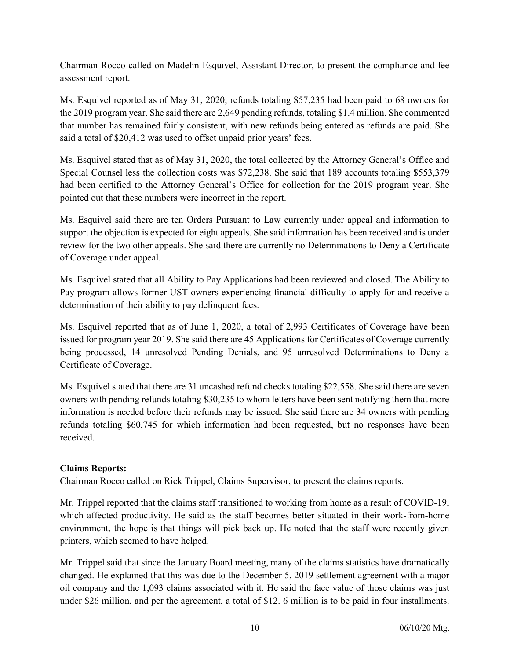Chairman Rocco called on Madelin Esquivel, Assistant Director, to present the compliance and fee assessment report.

Ms. Esquivel reported as of May 31, 2020, refunds totaling \$57,235 had been paid to 68 owners for the 2019 program year. She said there are 2,649 pending refunds, totaling \$1.4 million. She commented that number has remained fairly consistent, with new refunds being entered as refunds are paid. She said a total of \$20,412 was used to offset unpaid prior years' fees.

Ms. Esquivel stated that as of May 31, 2020, the total collected by the Attorney General's Office and Special Counsel less the collection costs was \$72,238. She said that 189 accounts totaling \$553,379 had been certified to the Attorney General's Office for collection for the 2019 program year. She pointed out that these numbers were incorrect in the report.

Ms. Esquivel said there are ten Orders Pursuant to Law currently under appeal and information to support the objection is expected for eight appeals. She said information has been received and is under review for the two other appeals. She said there are currently no Determinations to Deny a Certificate of Coverage under appeal.

Ms. Esquivel stated that all Ability to Pay Applications had been reviewed and closed. The Ability to Pay program allows former UST owners experiencing financial difficulty to apply for and receive a determination of their ability to pay delinquent fees.

Ms. Esquivel reported that as of June 1, 2020, a total of 2,993 Certificates of Coverage have been issued for program year 2019. She said there are 45 Applications for Certificates of Coverage currently being processed, 14 unresolved Pending Denials, and 95 unresolved Determinations to Deny a Certificate of Coverage.

Ms. Esquivel stated that there are 31 uncashed refund checks totaling \$22,558. She said there are seven owners with pending refunds totaling \$30,235 to whom letters have been sent notifying them that more information is needed before their refunds may be issued. She said there are 34 owners with pending refunds totaling \$60,745 for which information had been requested, but no responses have been received.

# Claims Reports:

Chairman Rocco called on Rick Trippel, Claims Supervisor, to present the claims reports.

Mr. Trippel reported that the claims staff transitioned to working from home as a result of COVID-19, which affected productivity. He said as the staff becomes better situated in their work-from-home environment, the hope is that things will pick back up. He noted that the staff were recently given printers, which seemed to have helped.

Mr. Trippel said that since the January Board meeting, many of the claims statistics have dramatically changed. He explained that this was due to the December 5, 2019 settlement agreement with a major oil company and the 1,093 claims associated with it. He said the face value of those claims was just under \$26 million, and per the agreement, a total of \$12. 6 million is to be paid in four installments.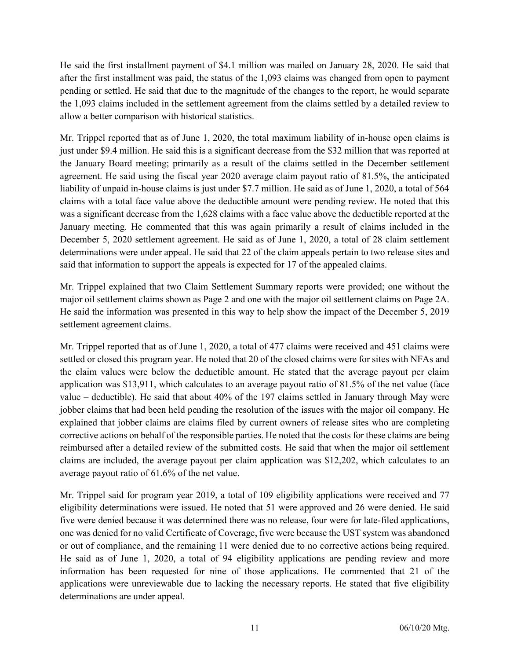He said the first installment payment of \$4.1 million was mailed on January 28, 2020. He said that after the first installment was paid, the status of the 1,093 claims was changed from open to payment pending or settled. He said that due to the magnitude of the changes to the report, he would separate the 1,093 claims included in the settlement agreement from the claims settled by a detailed review to allow a better comparison with historical statistics.

Mr. Trippel reported that as of June 1, 2020, the total maximum liability of in-house open claims is just under \$9.4 million. He said this is a significant decrease from the \$32 million that was reported at the January Board meeting; primarily as a result of the claims settled in the December settlement agreement. He said using the fiscal year 2020 average claim payout ratio of 81.5%, the anticipated liability of unpaid in-house claims is just under \$7.7 million. He said as of June 1, 2020, a total of 564 claims with a total face value above the deductible amount were pending review. He noted that this was a significant decrease from the 1,628 claims with a face value above the deductible reported at the January meeting. He commented that this was again primarily a result of claims included in the December 5, 2020 settlement agreement. He said as of June 1, 2020, a total of 28 claim settlement determinations were under appeal. He said that 22 of the claim appeals pertain to two release sites and said that information to support the appeals is expected for 17 of the appealed claims.

Mr. Trippel explained that two Claim Settlement Summary reports were provided; one without the major oil settlement claims shown as Page 2 and one with the major oil settlement claims on Page 2A. He said the information was presented in this way to help show the impact of the December 5, 2019 settlement agreement claims.

Mr. Trippel reported that as of June 1, 2020, a total of 477 claims were received and 451 claims were settled or closed this program year. He noted that 20 of the closed claims were for sites with NFAs and the claim values were below the deductible amount. He stated that the average payout per claim application was \$13,911, which calculates to an average payout ratio of 81.5% of the net value (face value – deductible). He said that about 40% of the 197 claims settled in January through May were jobber claims that had been held pending the resolution of the issues with the major oil company. He explained that jobber claims are claims filed by current owners of release sites who are completing corrective actions on behalf of the responsible parties. He noted that the costs for these claims are being reimbursed after a detailed review of the submitted costs. He said that when the major oil settlement claims are included, the average payout per claim application was \$12,202, which calculates to an average payout ratio of 61.6% of the net value.

Mr. Trippel said for program year 2019, a total of 109 eligibility applications were received and 77 eligibility determinations were issued. He noted that 51 were approved and 26 were denied. He said five were denied because it was determined there was no release, four were for late-filed applications, one was denied for no valid Certificate of Coverage, five were because the UST system was abandoned or out of compliance, and the remaining 11 were denied due to no corrective actions being required. He said as of June 1, 2020, a total of 94 eligibility applications are pending review and more information has been requested for nine of those applications. He commented that 21 of the applications were unreviewable due to lacking the necessary reports. He stated that five eligibility determinations are under appeal.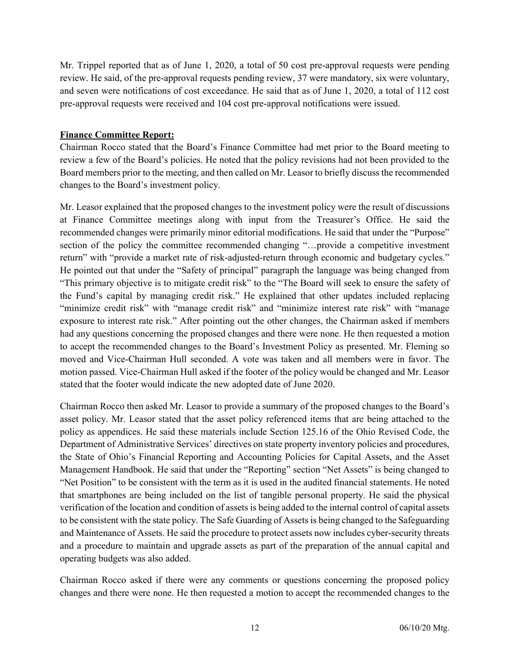Mr. Trippel reported that as of June 1, 2020, a total of 50 cost pre-approval requests were pending review. He said, of the pre-approval requests pending review, 37 were mandatory, six were voluntary, and seven were notifications of cost exceedance. He said that as of June 1, 2020, a total of 112 cost pre-approval requests were received and 104 cost pre-approval notifications were issued.

### Finance Committee Report:

Chairman Rocco stated that the Board's Finance Committee had met prior to the Board meeting to review a few of the Board's policies. He noted that the policy revisions had not been provided to the Board members prior to the meeting, and then called on Mr. Leasor to briefly discuss the recommended changes to the Board's investment policy.

Mr. Leasor explained that the proposed changes to the investment policy were the result of discussions at Finance Committee meetings along with input from the Treasurer's Office. He said the recommended changes were primarily minor editorial modifications. He said that under the "Purpose" section of the policy the committee recommended changing "…provide a competitive investment return" with "provide a market rate of risk-adjusted-return through economic and budgetary cycles." He pointed out that under the "Safety of principal" paragraph the language was being changed from "This primary objective is to mitigate credit risk" to the "The Board will seek to ensure the safety of the Fund's capital by managing credit risk." He explained that other updates included replacing "minimize credit risk" with "manage credit risk" and "minimize interest rate risk" with "manage exposure to interest rate risk." After pointing out the other changes, the Chairman asked if members had any questions concerning the proposed changes and there were none. He then requested a motion to accept the recommended changes to the Board's Investment Policy as presented. Mr. Fleming so moved and Vice-Chairman Hull seconded. A vote was taken and all members were in favor. The motion passed. Vice-Chairman Hull asked if the footer of the policy would be changed and Mr. Leasor stated that the footer would indicate the new adopted date of June 2020.

Chairman Rocco then asked Mr. Leasor to provide a summary of the proposed changes to the Board's asset policy. Mr. Leasor stated that the asset policy referenced items that are being attached to the policy as appendices. He said these materials include Section 125.16 of the Ohio Revised Code, the Department of Administrative Services' directives on state property inventory policies and procedures, the State of Ohio's Financial Reporting and Accounting Policies for Capital Assets, and the Asset Management Handbook. He said that under the "Reporting" section "Net Assets" is being changed to "Net Position" to be consistent with the term as it is used in the audited financial statements. He noted that smartphones are being included on the list of tangible personal property. He said the physical verification of the location and condition of assets is being added to the internal control of capital assets to be consistent with the state policy. The Safe Guarding of Assets is being changed to the Safeguarding and Maintenance of Assets. He said the procedure to protect assets now includes cyber-security threats and a procedure to maintain and upgrade assets as part of the preparation of the annual capital and operating budgets was also added.

Chairman Rocco asked if there were any comments or questions concerning the proposed policy changes and there were none. He then requested a motion to accept the recommended changes to the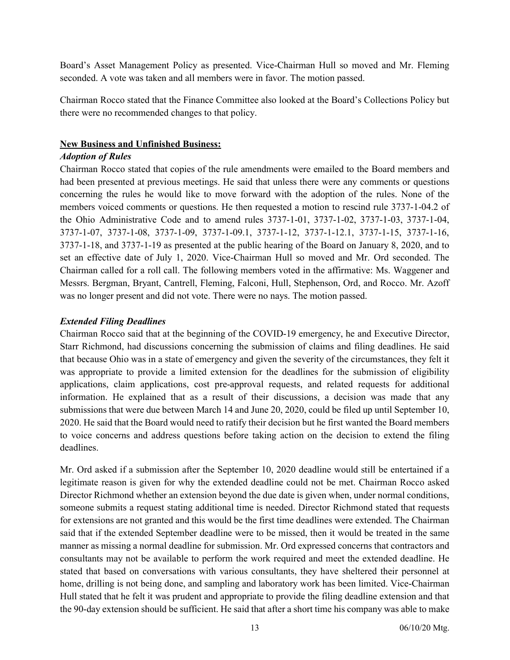Board's Asset Management Policy as presented. Vice-Chairman Hull so moved and Mr. Fleming seconded. A vote was taken and all members were in favor. The motion passed.

Chairman Rocco stated that the Finance Committee also looked at the Board's Collections Policy but there were no recommended changes to that policy.

#### New Business and Unfinished Business:

### Adoption of Rules

Chairman Rocco stated that copies of the rule amendments were emailed to the Board members and had been presented at previous meetings. He said that unless there were any comments or questions concerning the rules he would like to move forward with the adoption of the rules. None of the members voiced comments or questions. He then requested a motion to rescind rule 3737-1-04.2 of the Ohio Administrative Code and to amend rules 3737-1-01, 3737-1-02, 3737-1-03, 3737-1-04, 3737-1-07, 3737-1-08, 3737-1-09, 3737-1-09.1, 3737-1-12, 3737-1-12.1, 3737-1-15, 3737-1-16, 3737-1-18, and 3737-1-19 as presented at the public hearing of the Board on January 8, 2020, and to set an effective date of July 1, 2020. Vice-Chairman Hull so moved and Mr. Ord seconded. The Chairman called for a roll call. The following members voted in the affirmative: Ms. Waggener and Messrs. Bergman, Bryant, Cantrell, Fleming, Falconi, Hull, Stephenson, Ord, and Rocco. Mr. Azoff was no longer present and did not vote. There were no nays. The motion passed.

### Extended Filing Deadlines

Chairman Rocco said that at the beginning of the COVID-19 emergency, he and Executive Director, Starr Richmond, had discussions concerning the submission of claims and filing deadlines. He said that because Ohio was in a state of emergency and given the severity of the circumstances, they felt it was appropriate to provide a limited extension for the deadlines for the submission of eligibility applications, claim applications, cost pre-approval requests, and related requests for additional information. He explained that as a result of their discussions, a decision was made that any submissions that were due between March 14 and June 20, 2020, could be filed up until September 10, 2020. He said that the Board would need to ratify their decision but he first wanted the Board members to voice concerns and address questions before taking action on the decision to extend the filing deadlines.

Mr. Ord asked if a submission after the September 10, 2020 deadline would still be entertained if a legitimate reason is given for why the extended deadline could not be met. Chairman Rocco asked Director Richmond whether an extension beyond the due date is given when, under normal conditions, someone submits a request stating additional time is needed. Director Richmond stated that requests for extensions are not granted and this would be the first time deadlines were extended. The Chairman said that if the extended September deadline were to be missed, then it would be treated in the same manner as missing a normal deadline for submission. Mr. Ord expressed concerns that contractors and consultants may not be available to perform the work required and meet the extended deadline. He stated that based on conversations with various consultants, they have sheltered their personnel at home, drilling is not being done, and sampling and laboratory work has been limited. Vice-Chairman Hull stated that he felt it was prudent and appropriate to provide the filing deadline extension and that the 90-day extension should be sufficient. He said that after a short time his company was able to make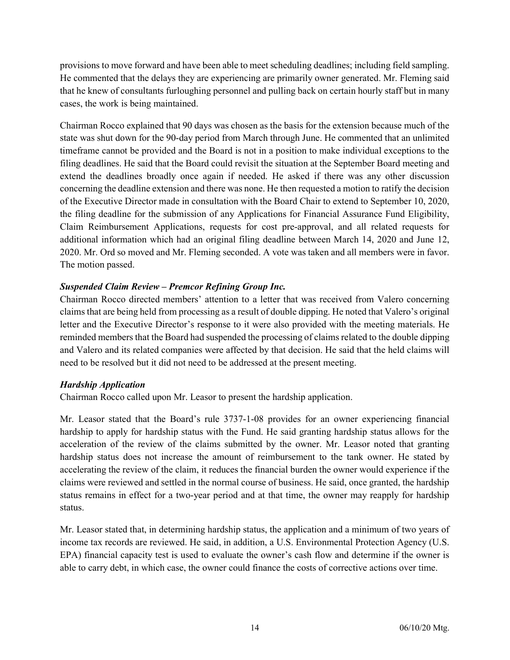provisions to move forward and have been able to meet scheduling deadlines; including field sampling. He commented that the delays they are experiencing are primarily owner generated. Mr. Fleming said that he knew of consultants furloughing personnel and pulling back on certain hourly staff but in many cases, the work is being maintained.

Chairman Rocco explained that 90 days was chosen as the basis for the extension because much of the state was shut down for the 90-day period from March through June. He commented that an unlimited timeframe cannot be provided and the Board is not in a position to make individual exceptions to the filing deadlines. He said that the Board could revisit the situation at the September Board meeting and extend the deadlines broadly once again if needed. He asked if there was any other discussion concerning the deadline extension and there was none. He then requested a motion to ratify the decision of the Executive Director made in consultation with the Board Chair to extend to September 10, 2020, the filing deadline for the submission of any Applications for Financial Assurance Fund Eligibility, Claim Reimbursement Applications, requests for cost pre-approval, and all related requests for additional information which had an original filing deadline between March 14, 2020 and June 12, 2020. Mr. Ord so moved and Mr. Fleming seconded. A vote was taken and all members were in favor. The motion passed.

### Suspended Claim Review – Premcor Refining Group Inc.

Chairman Rocco directed members' attention to a letter that was received from Valero concerning claims that are being held from processing as a result of double dipping. He noted that Valero's original letter and the Executive Director's response to it were also provided with the meeting materials. He reminded members that the Board had suspended the processing of claims related to the double dipping and Valero and its related companies were affected by that decision. He said that the held claims will need to be resolved but it did not need to be addressed at the present meeting.

### Hardship Application

Chairman Rocco called upon Mr. Leasor to present the hardship application.

Mr. Leasor stated that the Board's rule 3737-1-08 provides for an owner experiencing financial hardship to apply for hardship status with the Fund. He said granting hardship status allows for the acceleration of the review of the claims submitted by the owner. Mr. Leasor noted that granting hardship status does not increase the amount of reimbursement to the tank owner. He stated by accelerating the review of the claim, it reduces the financial burden the owner would experience if the claims were reviewed and settled in the normal course of business. He said, once granted, the hardship status remains in effect for a two-year period and at that time, the owner may reapply for hardship status.

Mr. Leasor stated that, in determining hardship status, the application and a minimum of two years of income tax records are reviewed. He said, in addition, a U.S. Environmental Protection Agency (U.S. EPA) financial capacity test is used to evaluate the owner's cash flow and determine if the owner is able to carry debt, in which case, the owner could finance the costs of corrective actions over time.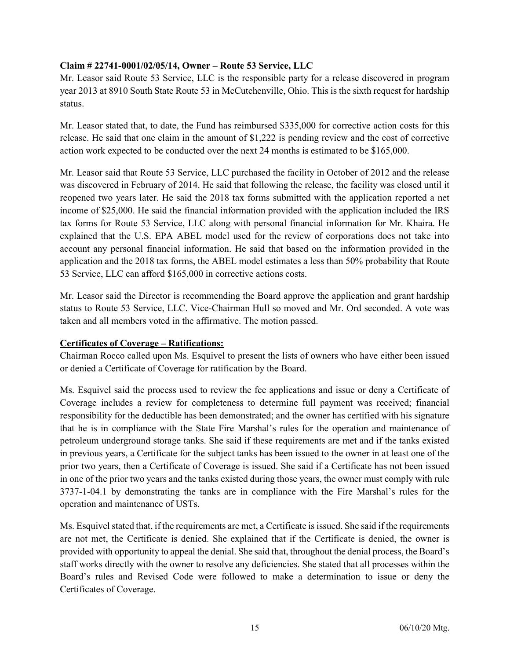### Claim # 22741-0001/02/05/14, Owner – Route 53 Service, LLC

Mr. Leasor said Route 53 Service, LLC is the responsible party for a release discovered in program year 2013 at 8910 South State Route 53 in McCutchenville, Ohio. This is the sixth request for hardship status.

Mr. Leasor stated that, to date, the Fund has reimbursed \$335,000 for corrective action costs for this release. He said that one claim in the amount of \$1,222 is pending review and the cost of corrective action work expected to be conducted over the next 24 months is estimated to be \$165,000.

Mr. Leasor said that Route 53 Service, LLC purchased the facility in October of 2012 and the release was discovered in February of 2014. He said that following the release, the facility was closed until it reopened two years later. He said the 2018 tax forms submitted with the application reported a net income of \$25,000. He said the financial information provided with the application included the IRS tax forms for Route 53 Service, LLC along with personal financial information for Mr. Khaira. He explained that the U.S. EPA ABEL model used for the review of corporations does not take into account any personal financial information. He said that based on the information provided in the application and the 2018 tax forms, the ABEL model estimates a less than 50% probability that Route 53 Service, LLC can afford \$165,000 in corrective actions costs.

Mr. Leasor said the Director is recommending the Board approve the application and grant hardship status to Route 53 Service, LLC. Vice-Chairman Hull so moved and Mr. Ord seconded. A vote was taken and all members voted in the affirmative. The motion passed.

### Certificates of Coverage – Ratifications:

Chairman Rocco called upon Ms. Esquivel to present the lists of owners who have either been issued or denied a Certificate of Coverage for ratification by the Board.

Ms. Esquivel said the process used to review the fee applications and issue or deny a Certificate of Coverage includes a review for completeness to determine full payment was received; financial responsibility for the deductible has been demonstrated; and the owner has certified with his signature that he is in compliance with the State Fire Marshal's rules for the operation and maintenance of petroleum underground storage tanks. She said if these requirements are met and if the tanks existed in previous years, a Certificate for the subject tanks has been issued to the owner in at least one of the prior two years, then a Certificate of Coverage is issued. She said if a Certificate has not been issued in one of the prior two years and the tanks existed during those years, the owner must comply with rule 3737-1-04.1 by demonstrating the tanks are in compliance with the Fire Marshal's rules for the operation and maintenance of USTs.

Ms. Esquivel stated that, if the requirements are met, a Certificate is issued. She said if the requirements are not met, the Certificate is denied. She explained that if the Certificate is denied, the owner is provided with opportunity to appeal the denial. She said that, throughout the denial process, the Board's staff works directly with the owner to resolve any deficiencies. She stated that all processes within the Board's rules and Revised Code were followed to make a determination to issue or deny the Certificates of Coverage.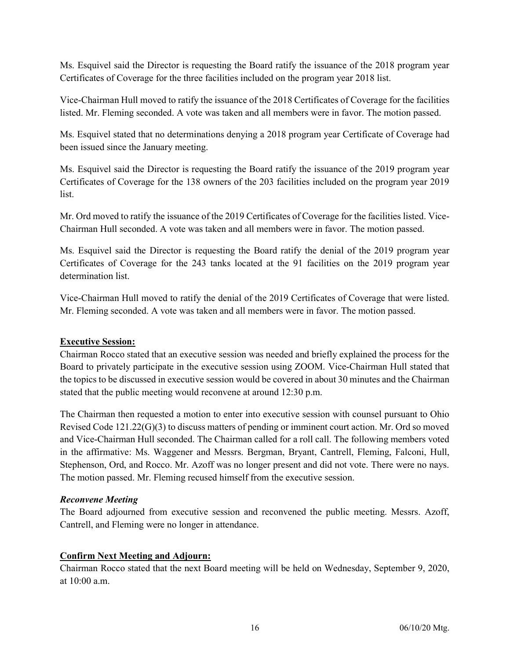Ms. Esquivel said the Director is requesting the Board ratify the issuance of the 2018 program year Certificates of Coverage for the three facilities included on the program year 2018 list.

Vice-Chairman Hull moved to ratify the issuance of the 2018 Certificates of Coverage for the facilities listed. Mr. Fleming seconded. A vote was taken and all members were in favor. The motion passed.

Ms. Esquivel stated that no determinations denying a 2018 program year Certificate of Coverage had been issued since the January meeting.

Ms. Esquivel said the Director is requesting the Board ratify the issuance of the 2019 program year Certificates of Coverage for the 138 owners of the 203 facilities included on the program year 2019 list.

Mr. Ord moved to ratify the issuance of the 2019 Certificates of Coverage for the facilities listed. Vice-Chairman Hull seconded. A vote was taken and all members were in favor. The motion passed.

Ms. Esquivel said the Director is requesting the Board ratify the denial of the 2019 program year Certificates of Coverage for the 243 tanks located at the 91 facilities on the 2019 program year determination list.

Vice-Chairman Hull moved to ratify the denial of the 2019 Certificates of Coverage that were listed. Mr. Fleming seconded. A vote was taken and all members were in favor. The motion passed.

### Executive Session:

Chairman Rocco stated that an executive session was needed and briefly explained the process for the Board to privately participate in the executive session using ZOOM. Vice-Chairman Hull stated that the topics to be discussed in executive session would be covered in about 30 minutes and the Chairman stated that the public meeting would reconvene at around 12:30 p.m.

The Chairman then requested a motion to enter into executive session with counsel pursuant to Ohio Revised Code 121.22(G)(3) to discuss matters of pending or imminent court action. Mr. Ord so moved and Vice-Chairman Hull seconded. The Chairman called for a roll call. The following members voted in the affirmative: Ms. Waggener and Messrs. Bergman, Bryant, Cantrell, Fleming, Falconi, Hull, Stephenson, Ord, and Rocco. Mr. Azoff was no longer present and did not vote. There were no nays. The motion passed. Mr. Fleming recused himself from the executive session.

### Reconvene Meeting

The Board adjourned from executive session and reconvened the public meeting. Messrs. Azoff, Cantrell, and Fleming were no longer in attendance.

### Confirm Next Meeting and Adjourn:

Chairman Rocco stated that the next Board meeting will be held on Wednesday, September 9, 2020, at 10:00 a.m.